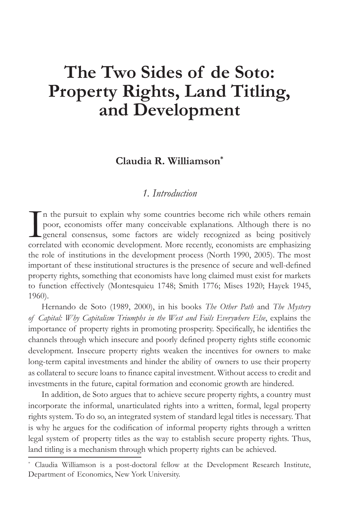# The Two Sides of de Soto: **Property Rights, Land Titling,** and Development

# Claudia R. Williamson\*

## 1. Introduction

In the pursuit to explain why some countries become rich while others remain poor, economists offer many conceivable explanations. Although there is no general consensus, some factors are widely recognized as being positively correlated with economic development. More recently, economists are emphasizing the role of institutions in the development process (North 1990, 2005). The most important of these institutional structures is the presence of secure and well-defined property rights, something that economists have long claimed must exist for markets to function effectively (Montesquieu 1748; Smith 1776; Mises 1920; Hayek 1945, 1960).

Hernando de Soto (1989, 2000), in his books The Other Path and The Mystery of Capital: Why Capitalism Triumphs in the West and Fails Everywhere Else, explains the importance of property rights in promoting prosperity. Specifically, he identifies the channels through which insecure and poorly defined property rights stifle economic development. Insecure property rights weaken the incentives for owners to make long-term capital investments and hinder the ability of owners to use their property as collateral to secure loans to finance capital investment. Without access to credit and investments in the future, capital formation and economic growth are hindered.

In addition, de Soto argues that to achieve secure property rights, a country must incorporate the informal, unarticulated rights into a written, formal, legal property rights system. To do so, an integrated system of standard legal titles is necessary. That is why he argues for the codification of informal property rights through a written legal system of property titles as the way to establish secure property rights. Thus, land titling is a mechanism through which property rights can be achieved.

Claudia Williamson is a post-doctoral fellow at the Development Research Institute, Department of Economics, New York University.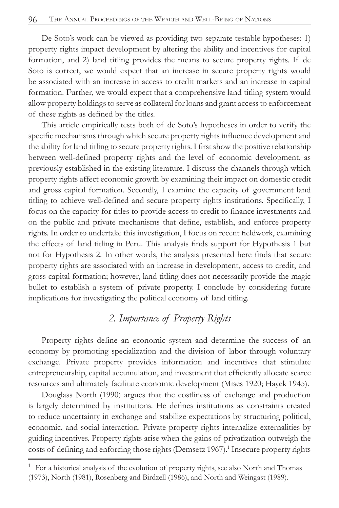De Soto's work can be viewed as providing two separate testable hypotheses: 1) property rights impact development by altering the ability and incentives for capital formation, and 2) land titling provides the means to secure property rights. If de Soto is correct, we would expect that an increase in secure property rights would be associated with an increase in access to credit markets and an increase in capital formation. Further, we would expect that a comprehensive land titling system would allow property holdings to serve as collateral for loans and grant access to enforcement of these rights as defined by the titles.

This article empirically tests both of de Soto's hypotheses in order to verify the specific mechanisms through which secure property rights influence development and the ability for land titling to secure property rights. I first show the positive relationship between well-defined property rights and the level of economic development, as previously established in the existing literature. I discuss the channels through which property rights affect economic growth by examining their impact on domestic credit and gross capital formation. Secondly, I examine the capacity of government land titling to achieve well-defined and secure property rights institutions. Specifically, I focus on the capacity for titles to provide access to credit to finance investments and on the public and private mechanisms that define, establish, and enforce property rights. In order to undertake this investigation, I focus on recent fieldwork, examining the effects of land titling in Peru. This analysis finds support for Hypothesis 1 but not for Hypothesis 2. In other words, the analysis presented here finds that secure property rights are associated with an increase in development, access to credit, and gross capital formation; however, land titling does not necessarily provide the magic bullet to establish a system of private property. I conclude by considering future implications for investigating the political economy of land titling.

## *2. Importance of Property Rights*

Property rights define an economic system and determine the success of an economy by promoting specialization and the division of labor through voluntary exchange. Private property provides information and incentives that stimulate entrepreneurship, capital accumulation, and investment that efficiently allocate scarce resources and ultimately facilitate economic development (Mises 1920; Hayek 1945).

Douglass North (1990) argues that the costliness of exchange and production is largely determined by institutions. He defines institutions as constraints created to reduce uncertainty in exchange and stabilize expectations by structuring political, economic, and social interaction. Private property rights internalize externalities by guiding incentives. Property rights arise when the gains of privatization outweigh the costs of defining and enforcing those rights (Demsetz 1967).<sup>1</sup> Insecure property rights

<sup>1</sup> For a historical analysis of the evolution of property rights, see also North and Thomas (1973), North (1981), Rosenberg and Birdzell (1986), and North and Weingast (1989).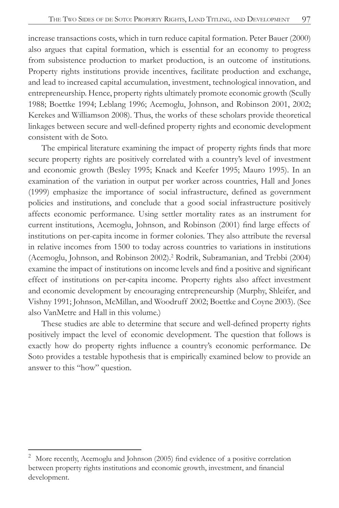increase transactions costs, which in turn reduce capital formation. Peter Bauer (2000) also argues that capital formation, which is essential for an economy to progress from subsistence production to market production, is an outcome of institutions. Property rights institutions provide incentives, facilitate production and exchange, and lead to increased capital accumulation, investment, technological innovation, and entrepreneurship. Hence, property rights ultimately promote economic growth (Scully 1988; Boettke 1994; Leblang 1996; Acemoglu, Johnson, and Robinson 2001, 2002; Kerekes and Williamson 2008). Thus, the works of these scholars provide theoretical linkages between secure and well-defined property rights and economic development consistent with de Soto.

The empirical literature examining the impact of property rights finds that more secure property rights are positively correlated with a country's level of investment and economic growth (Besley 1995; Knack and Keefer 1995; Mauro 1995). In an examination of the variation in output per worker across countries, Hall and Jones (1999) emphasize the importance of social infrastructure, defined as government policies and institutions, and conclude that a good social infrastructure positively affects economic performance. Using settler mortality rates as an instrument for current institutions, Acemoglu, Johnson, and Robinson (2001) find large effects of institutions on per-capita income in former colonies. They also attribute the reversal in relative incomes from 1500 to today across countries to variations in institutions (Acemoglu, Johnson, and Robinson 2002).<sup>2</sup> Rodrik, Subramanian, and Trebbi (2004) examine the impact of institutions on income levels and find a positive and significant effect of institutions on per-capita income. Property rights also affect investment and economic development by encouraging entrepreneurship (Murphy, Shleifer, and Vishny 1991; Johnson, McMillan, and Woodruff 2002; Boettke and Coyne 2003). (See also VanMetre and Hall in this volume.)

These studies are able to determine that secure and well-defined property rights positively impact the level of economic development. The question that follows is exactly how do property rights influence a country's economic performance. De Soto provides a testable hypothesis that is empirically examined below to provide an answer to this "how" question.

 $\overline{\mathbf{c}}$ More recently, Acemoglu and Johnson (2005) find evidence of a positive correlation between property rights institutions and economic growth, investment, and financial development.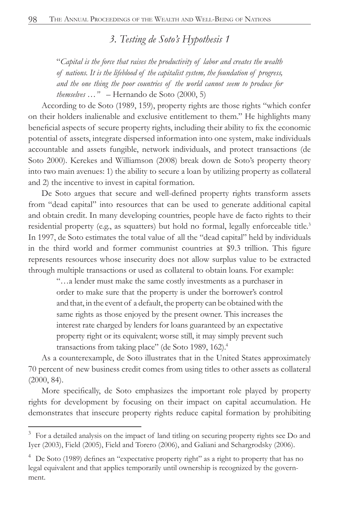*3. Testing de Soto's Hypothesis 1* 

"*Capital is the force that raises the productivity of labor and creates the wealth of nations. It is the lifeblood of the capitalist system, the foundation of progress, and the one thing the poor countries of the world cannot seem to produce for themselves …"* – Hernando de Soto (2000, 5)

According to de Soto (1989, 159), property rights are those rights "which confer on their holders inalienable and exclusive entitlement to them." He highlights many beneficial aspects of secure property rights, including their ability to fix the economic potential of assets, integrate dispersed information into one system, make individuals accountable and assets fungible, network individuals, and protect transactions (de Soto 2000). Kerekes and Williamson (2008) break down de Soto's property theory into two main avenues: 1) the ability to secure a loan by utilizing property as collateral and 2) the incentive to invest in capital formation.

De Soto argues that secure and well-defined property rights transform assets from "dead capital" into resources that can be used to generate additional capital and obtain credit. In many developing countries, people have de facto rights to their residential property (e.g., as squatters) but hold no formal, legally enforceable title.<sup>3</sup> In 1997, de Soto estimates the total value of all the "dead capital" held by individuals in the third world and former communist countries at \$9.3 trillion. This figure represents resources whose insecurity does not allow surplus value to be extracted through multiple transactions or used as collateral to obtain loans. For example:

"…a lender must make the same costly investments as a purchaser in order to make sure that the property is under the borrower's control and that, in the event of a default, the property can be obtained with the same rights as those enjoyed by the present owner. This increases the interest rate charged by lenders for loans guaranteed by an expectative property right or its equivalent; worse still, it may simply prevent such transactions from taking place" (de Soto 1989, 162).4

As a counterexample, de Soto illustrates that in the United States approximately 70 percent of new business credit comes from using titles to other assets as collateral (2000, 84).

More specifically, de Soto emphasizes the important role played by property rights for development by focusing on their impact on capital accumulation. He demonstrates that insecure property rights reduce capital formation by prohibiting

<sup>3</sup> For a detailed analysis on the impact of land titling on securing property rights see Do and Iyer (2003), Field (2005), Field and Torero (2006), and Galiani and Schargrodsky (2006).

 $4$  De Soto (1989) defines an "expectative property right" as a right to property that has no legal equivalent and that applies temporarily until ownership is recognized by the government.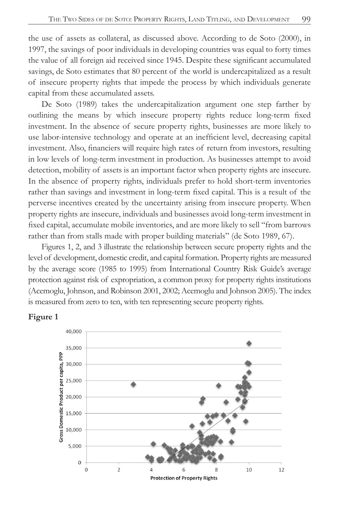the use of assets as collateral, as discussed above. According to de Soto (2000), in 1997, the savings of poor individuals in developing countries was equal to forty times the value of all foreign aid received since 1945. Despite these significant accumulated savings, de Soto estimates that 80 percent of the world is undercapitalized as a result of insecure property rights that impede the process by which individuals generate capital from these accumulated assets.

De Soto (1989) takes the undercapitalization argument one step farther by outlining the means by which insecure property rights reduce long-term fixed investment. In the absence of secure property rights, businesses are more likely to use labor-intensive technology and operate at an inefficient level, decreasing capital investment. Also, financiers will require high rates of return from investors, resulting in low levels of long-term investment in production. As businesses attempt to avoid detection, mobility of assets is an important factor when property rights are insecure. In the absence of property rights, individuals prefer to hold short-term inventories rather than savings and investment in long-term fixed capital. This is a result of the perverse incentives created by the uncertainty arising from insecure property. When property rights are insecure, individuals and businesses avoid long-term investment in fixed capital, accumulate mobile inventories, and are more likely to sell "from barrows" rather than from stalls made with proper building materials" (de Soto 1989, 67).

Figures 1, 2, and 3 illustrate the relationship between secure property rights and the level of development, domestic credit, and capital formation. Property rights are measured by the average score (1985 to 1995) from International Country Risk Guide's average protection against risk of expropriation, a common proxy for property rights institutions (Acemoglu, Johnson, and Robinson 2001, 2002; Acemoglu and Johnson 2005). The index is measured from zero to ten, with ten representing secure property rights.



#### **Figure 1**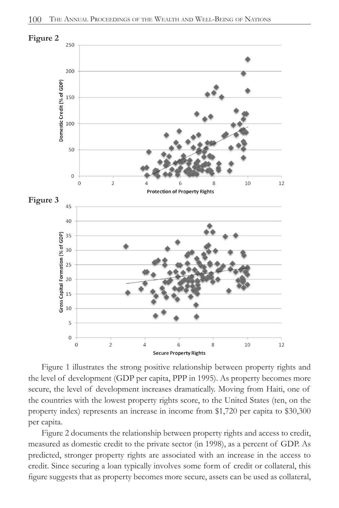

Figure 1 illustrates the strong positive relationship between property rights and the level of development (GDP per capita, PPP in 1995). As property becomes more secure, the level of development increases dramatically. Moving from Haiti, one of the countries with the lowest property rights score, to the United States (ten, on the property index) represents an increase in income from \$1,720 per capita to \$30,300 per capita.

Figure 2 documents the relationship between property rights and access to credit, measured as domestic credit to the private sector (in 1998), as a percent of GDP. As predicted, stronger property rights are associated with an increase in the access to credit. Since securing a loan typically involves some form of credit or collateral, this figure suggests that as property becomes more secure, assets can be used as collateral,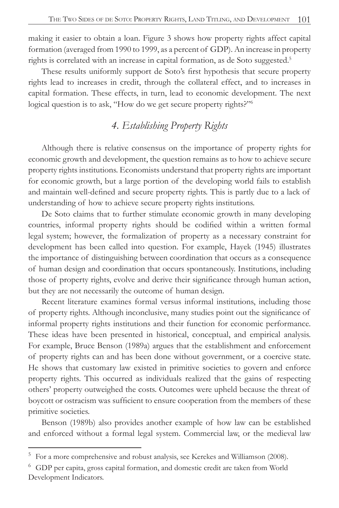making it easier to obtain a loan. Figure 3 shows how property rights affect capital formation (averaged from 1990 to 1999, as a percent of GDP). An increase in property rights is correlated with an increase in capital formation, as de Soto suggested.<sup>5</sup>

These results uniformly support de Soto's first hypothesis that secure property rights lead to increases in credit, through the collateral effect, and to increases in capital formation. These effects, in turn, lead to economic development. The next logical question is to ask, "How do we get secure property rights?"

# 4. Establishing Property Rights

Although there is relative consensus on the importance of property rights for economic growth and development, the question remains as to how to achieve secure property rights institutions. Economists understand that property rights are important for economic growth, but a large portion of the developing world fails to establish and maintain well-defined and secure property rights. This is partly due to a lack of understanding of how to achieve secure property rights institutions.

De Soto claims that to further stimulate economic growth in many developing countries, informal property rights should be codified within a written formal legal system; however, the formalization of property as a necessary constraint for development has been called into question. For example, Hayek (1945) illustrates the importance of distinguishing between coordination that occurs as a consequence of human design and coordination that occurs spontaneously. Institutions, including those of property rights, evolve and derive their significance through human action, but they are not necessarily the outcome of human design.

Recent literature examines formal versus informal institutions, including those of property rights. Although inconclusive, many studies point out the significance of informal property rights institutions and their function for economic performance. These ideas have been presented in historical, conceptual, and empirical analysis. For example, Bruce Benson (1989a) argues that the establishment and enforcement of property rights can and has been done without government, or a coercive state. He shows that customary law existed in primitive societies to govern and enforce property rights. This occurred as individuals realized that the gains of respecting others' property outweighed the costs. Outcomes were upheld because the threat of boycott or ostracism was sufficient to ensure cooperation from the members of these primitive societies.

Benson (1989b) also provides another example of how law can be established and enforced without a formal legal system. Commercial law, or the medieval law

<sup>5</sup> For a more comprehensive and robust analysis, see Kerekes and Williamson (2008).

<sup>6</sup> GDP per capita, gross capital formation, and domestic credit are taken from World Development Indicators.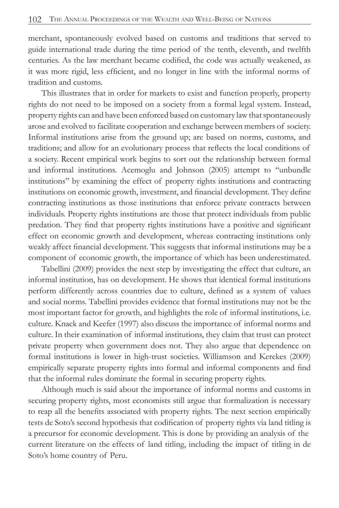merchant, spontaneously evolved based on customs and traditions that served to guide international trade during the time period of the tenth, eleventh, and twelfth centuries. As the law merchant became codified, the code was actually weakened, as it was more rigid, less efficient, and no longer in line with the informal norms of tradition and customs.

This illustrates that in order for markets to exist and function properly, property rights do not need to be imposed on a society from a formal legal system. Instead, property rights can and have been enforced based on customary law that spontaneously arose and evolved to facilitate cooperation and exchange between members of society. Informal institutions arise from the ground up; are based on norms, customs, and traditions; and allow for an evolutionary process that reflects the local conditions of a society. Recent empirical work begins to sort out the relationship between formal and informal institutions. Acemoglu and Johnson (2005) attempt to "unbundle institutions" by examining the effect of property rights institutions and contracting institutions on economic growth, investment, and financial development. They define contracting institutions as those institutions that enforce private contracts between individuals. Property rights institutions are those that protect individuals from public predation. They find that property rights institutions have a positive and significant effect on economic growth and development, whereas contracting institutions only weakly affect financial development. This suggests that informal institutions may be a component of economic growth, the importance of which has been underestimated.

Tabellini (2009) provides the next step by investigating the effect that culture, an informal institution, has on development. He shows that identical formal institutions perform differently across countries due to culture, defined as a system of values and social norms. Tabellini provides evidence that formal institutions may not be the most important factor for growth, and highlights the role of informal institutions, i.e. culture. Knack and Keefer (1997) also discuss the importance of informal norms and culture. In their examination of informal institutions, they claim that trust can protect private property when government does not. They also argue that dependence on formal institutions is lower in high-trust societies. Williamson and Kerekes (2009) empirically separate property rights into formal and informal components and find that the informal rules dominate the formal in securing property rights.

Although much is said about the importance of informal norms and customs in securing property rights, most economists still argue that formalization is necessary to reap all the benefits associated with property rights. The next section empirically tests de Soto's second hypothesis that codification of property rights via land titling is a precursor for economic development. This is done by providing an analysis of the current literature on the effects of land titling, including the impact of titling in de Soto's home country of Peru.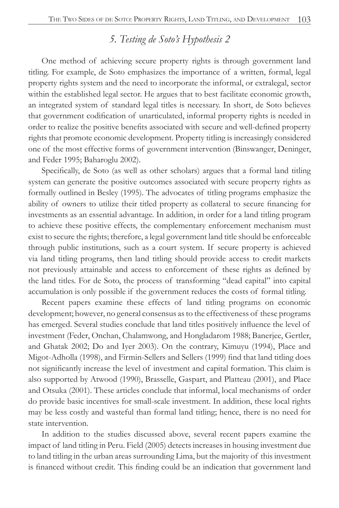## 5. Testing de Soto's Hypothesis 2

One method of achieving secure property rights is through government land titling. For example, de Soto emphasizes the importance of a written, formal, legal property rights system and the need to incorporate the informal, or extralegal, sector within the established legal sector. He argues that to best facilitate economic growth, an integrated system of standard legal titles is necessary. In short, de Soto believes that government codification of unarticulated, informal property rights is needed in order to realize the positive benefits associated with secure and well-defined property rights that promote economic development. Property titling is increasingly considered one of the most effective forms of government intervention (Binswanger, Deninger, and Feder 1995; Baharoglu 2002).

Specifically, de Soto (as well as other scholars) argues that a formal land titling system can generate the positive outcomes associated with secure property rights as formally outlined in Besley (1995). The advocates of titling programs emphasize the ability of owners to utilize their titled property as collateral to secure financing for investments as an essential advantage. In addition, in order for a land titling program to achieve these positive effects, the complementary enforcement mechanism must exist to secure the rights; therefore, a legal government land title should be enforceable through public institutions, such as a court system. If secure property is achieved via land titling programs, then land titling should provide access to credit markets not previously attainable and access to enforcement of these rights as defined by the land titles. For de Soto, the process of transforming "dead capital" into capital accumulation is only possible if the government reduces the costs of formal titling.

Recent papers examine these effects of land titling programs on economic development; however, no general consensus as to the effectiveness of these programs has emerged. Several studies conclude that land titles positively influence the level of investment (Feder, Onchan, Chalamwong, and Hongladarom 1988; Banerjee, Gertler, and Ghatak 2002; Do and Iyer 2003). On the contrary, Kimuyu (1994), Place and Migot-Adholla (1998), and Firmin-Sellers and Sellers (1999) find that land titling does not significantly increase the level of investment and capital formation. This claim is also supported by Atwood (1990), Brasselle, Gaspart, and Platteau (2001), and Place and Otsuka (2001). These articles conclude that informal, local mechanisms of order do provide basic incentives for small-scale investment. In addition, these local rights may be less costly and wasteful than formal land titling; hence, there is no need for state intervention.

In addition to the studies discussed above, several recent papers examine the impact of land titling in Peru. Field (2005) detects increases in housing investment due to land titling in the urban areas surrounding Lima, but the majority of this investment is financed without credit. This finding could be an indication that government land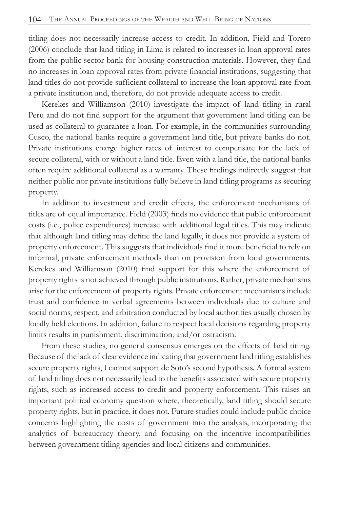titling does not necessarily increase access to credit. In addition, Field and Torero (2006) conclude that land titling in Lima is related to increases in loan approval rates from the public sector bank for housing construction materials. However, they find no increases in loan approval rates from private financial institutions, suggesting that land titles do not provide sufficient collateral to increase the loan approval rate from a private institution and, therefore, do not provide adequate access to credit.

Kerekes and Williamson (2010) investigate the impact of land titling in rural Peru and do not find support for the argument that government land titling can be used as collateral to guarantee a loan. For example, in the communities surrounding Cusco, the national banks require a government land title, but private banks do not. Private institutions charge higher rates of interest to compensate for the lack of secure collateral, with or without a land title. Even with a land title, the national banks  $\alpha$  often require additional collateral as a warranty. These findings indirectly suggest that neither public nor private institutions fully believe in land titling programs as securing property.

In addition to investment and credit effects, the enforcement mechanisms of titles are of equal importance. Field  $(2003)$  finds no evidence that public enforcement costs (i.e., police expenditures) increase with additional legal titles. This may indicate that although land titling may define the land legally, it does not provide a system of property enforcement. This suggests that individuals find it more beneficial to rely on informal, private enforcement methods than on provision from local governments. Kerekes and Williamson (2010) find support for this where the enforcement of property rights is not achieved through public institutions. Rather, private mechanisms arise for the enforcement of property rights. Private enforcement mechanisms include trust and confidence in verbal agreements between individuals due to culture and social norms, respect, and arbitration conducted by local authorities usually chosen by locally held elections. In addition, failure to respect local decisions regarding property limits results in punishment, discrimination, and/or ostracism.

From these studies, no general consensus emerges on the effects of land titling. Because of the lack of clear evidence indicating that government land titling establishes secure property rights, I cannot support de Soto's second hypothesis. A formal system  $\alpha$  ) and titling does not necessarily lead to the benefits associated with secure property rights, such as increased access to credit and property enforcement. This raises an important political economy question where, theoretically, land titling should secure property rights, but in practice, it does not. Future studies could include public choice concerns highlighting the costs of government into the analysis, incorporating the analytics of bureaucracy theory, and focusing on the incentive incompatibilities between government titling agencies and local citizens and communities.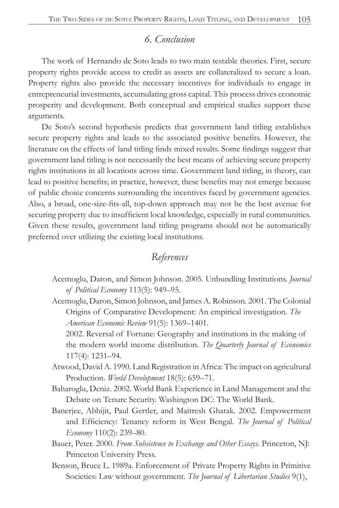## 6. Conclusion

The work of Hernando de Soto leads to two main testable theories. First, secure property rights provide access to credit as assets are collateralized to secure a loan. Property rights also provide the necessary incentives for individuals to engage in entrepreneurial investments, accumulating gross capital. This process drives economic prosperity and development. Both conceptual and empirical studies support these arguments.

De Soto's second hypothesis predicts that government land titling establishes secure property rights and leads to the associated positive benefits. However, the literature on the effects of land titling finds mixed results. Some findings suggest that government land titling is not necessarily the best means of achieving secure property rights institutions in all locations across time. Government land titling, in theory, can lead to positive benefits; in practice, however, these benefits may not emerge because of public choice concerns surrounding the incentives faced by government agencies. Also, a broad, one-size-fits-all, top-down approach may not be the best avenue for securing property due to insufficient local knowledge, especially in rural communities. Given these results, government land titling programs should not be automatically preferred over utilizing the existing local institutions.

## References

- Acemoglu, Daron, and Simon Johnson. 2005. Unbundling Institutions. *Journal* of Political Economy 113(5): 949-95.
- Acemoglu, Daron, Simon Johnson, and James A. Robinson. 2001. The Colonial Origins of Comparative Development: An empirical investigation. The *American Economic Review* 91(5): 1369–1401.

2002. Reversal of Fortune: Geography and institutions in the making of the modern world income distribution. The Quarterly Journal of Economics 117(4): 1231-94.

- Atwood, David A. 1990. Land Registration in Africa: The impact on agricultural Production. World Development 18(5): 659-71.
- Baharoglu, Deniz. 2002. World Bank Experience in Land Management and the Debate on Tenure Security. Washington DC: The World Bank.
- Banerjee, Abhijit, Paul Gertler, and Maitresh Ghatak. 2002. Empowerment and Efficiency: Tenancy reform in West Bengal. The Journal of Political Economy 110(2): 239-80.
- Bauer, Peter. 2000. From Subsistence to Exchange and Other Essays. Princeton, NJ: Princeton University Press.
- Benson, Bruce L. 1989a. Enforcement of Private Property Rights in Primitive Societies: Law without government. The Journal of Libertarian Studies 9(1),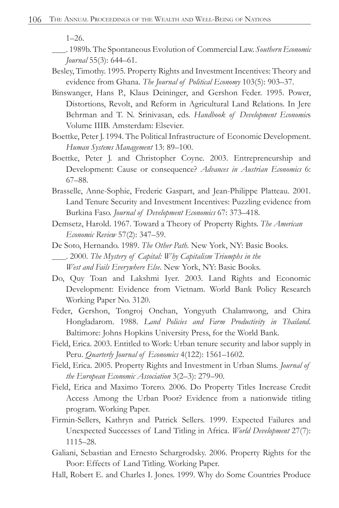1–26.

- . 1989b. The Spontaneous Evolution of Commercial Law. *Southern Economic Journal* 55(3): 644–61.
- Besley, Timothy. 1995. Property Rights and Investment Incentives: Theory and evidence from Ghana. *The Journal of Political Economy* 103(5): 903–37.
- Binswanger, Hans P., Klaus Deininger, and Gershon Feder. 1995. Power, Distortions, Revolt, and Reform in Agricultural Land Relations. In Jere Behrman and T. N. Srinivasan, eds. *Handbook of Development Economic*s Volume IIIB. Amsterdam: Elsevier.
- Boettke, Peter J. 1994. The Political Infrastructure of Economic Development. *Human Systems Management* 13: 89–100.
- Boettke, Peter J. and Christopher Coyne. 2003. Entrepreneurship and Development: Cause or consequence? *Advances in Austrian Economics* 6: 67–88.
- Brasselle, Anne-Sophie, Frederic Gaspart, and Jean-Philippe Platteau. 2001. Land Tenure Security and Investment Incentives: Puzzling evidence from Burkina Faso. *Journal of Development Economics* 67: 373–418.
- Demsetz, Harold. 1967. Toward a Theory of Property Rights. *The American Economic Review* 57(2): 347–59.
- De Soto, Hernando. 1989. *The Other Path*. New York, NY: Basic Books. . 2000. *The Mystery of Capital: Why Capitalism Triumphs in the West and Fails Everywhere Else*. New York, NY: Basic Books.
- Do, Quy Toan and Lakshmi Iyer. 2003. Land Rights and Economic Development: Evidence from Vietnam. World Bank Policy Research Working Paper No. 3120.
- Feder, Gershon, Tongroj Onchan, Yongyuth Chalamwong, and Chira Hongladarom. 1988. *Land Policies and Farm Productivity in Thailand*. Baltimore: Johns Hopkins University Press, for the World Bank.
- Field, Erica. 2003. Entitled to Work: Urban tenure security and labor supply in Peru. *Quarterly Journal of Economics* 4(122): 1561–1602.
- Field, Erica. 2005. Property Rights and Investment in Urban Slums. *Journal of the European Economic Association* 3(2–3): 279–90.
- Field, Erica and Maximo Torero. 2006. Do Property Titles Increase Credit Access Among the Urban Poor? Evidence from a nationwide titling program. Working Paper.
- Firmin-Sellers, Kathryn and Patrick Sellers. 1999. Expected Failures and Unexpected Successes of Land Titling in Africa. *World Development* 27(7): 1115–28.
- Galiani, Sebastian and Ernesto Schargrodsky. 2006. Property Rights for the Poor: Effects of Land Titling. Working Paper.
- Hall, Robert E. and Charles I. Jones. 1999. Why do Some Countries Produce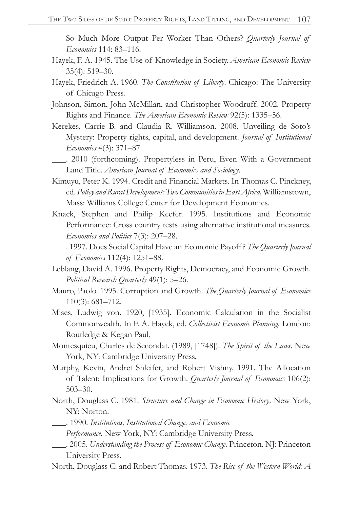So Much More Output Per Worker Than Others? *Quarterly Journal of Economics* 114: 83–116.

- Hayek, F. A. 1945. The Use of Knowledge in Society. *American Economic Review* 35(4): 519–30.
- Hayek, Friedrich A. 1960. *The Constitution of Liberty*. Chicago: The University of Chicago Press.
- Johnson, Simon, John McMillan, and Christopher Woodruff. 2002. Property Rights and Finance. *The American Economic Review* 92(5): 1335–56.
- Kerekes, Carrie B. and Claudia R. Williamson. 2008. Unveiling de Soto's Mystery: Property rights, capital, and development. *Journal of Institutional Economics* 4(3): 371–87.
- . 2010 (forthcoming). Propertyless in Peru, Even With a Government Land Title. *American Journal of Economics and Sociology*.
- Kimuyu, Peter K. 1994. Credit and Financial Markets. In Thomas C. Pinckney, ed. *Policy and Rural Development: Two Communities in East Africa,* Williamstown, Mass: Williams College Center for Development Economics.
- Knack, Stephen and Philip Keefer. 1995. Institutions and Economic Performance: Cross country tests using alternative institutional measures. *Economics and Politics* 7(3): 207–28.
- . 1997. Does Social Capital Have an Economic Payoff? *The Quarterly Journal of Economics* 112(4): 1251–88.
- Leblang, David A. 1996. Property Rights, Democracy, and Economic Growth. *Political Research Quarterly* 49(1): 5–26.
- Mauro, Paolo. 1995. Corruption and Growth. *The Quarterly Journal of Economics* 110(3): 681–712.
- Mises, Ludwig von. 1920, [1935]. Economic Calculation in the Socialist Commonwealth. In F. A. Hayek, ed. *Collectivist Economic Planning*. London: Routledge & Kegan Paul,
- Montesquieu, Charles de Secondat. (1989, [1748]). *The Spirit of the Laws*. New York, NY: Cambridge University Press.
- Murphy, Kevin, Andrei Shleifer, and Robert Vishny. 1991. The Allocation of Talent: Implications for Growth. *Quarterly Journal of Economics* 106(2): 503–30.
- North, Douglass C. 1981. *Structure and Change in Economic History*. New York, NY: Norton.
- . 1990. *Institutions, Institutional Change, and Economic* 
	- *Performance*. New York, NY: Cambridge University Press.
- . 2005. *Understanding the Process of Economic Change*. Princeton, NJ: Princeton University Press.
- North, Douglass C. and Robert Thomas. 1973. *The Rise of the Western World: A*